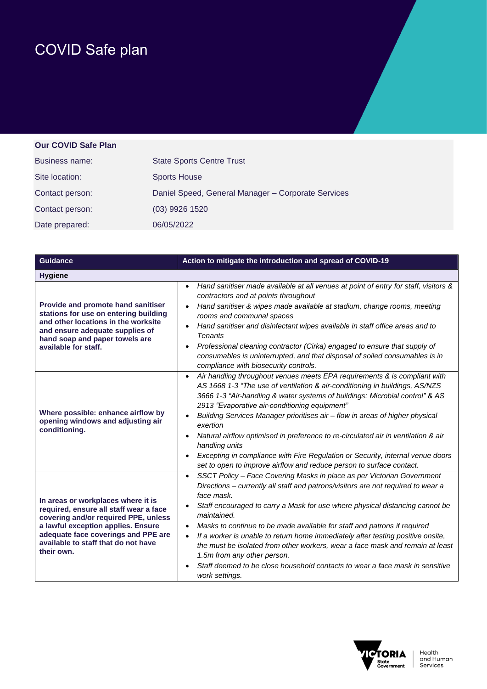## COVID Safe plan

## **Our COVID Safe Plan**

| Business name:  | <b>State Sports Centre Trust</b>                   |
|-----------------|----------------------------------------------------|
| Site location:  | <b>Sports House</b>                                |
| Contact person: | Daniel Speed, General Manager - Corporate Services |
| Contact person: | (03) 9926 1520                                     |
| Date prepared:  | 06/05/2022                                         |

| <b>Guidance</b>                                                                                                                                                                                                                                        | Action to mitigate the introduction and spread of COVID-19                                                                                                                                                                                                                                                                                                                                                                                                                                                                                                                                                                                                                         |
|--------------------------------------------------------------------------------------------------------------------------------------------------------------------------------------------------------------------------------------------------------|------------------------------------------------------------------------------------------------------------------------------------------------------------------------------------------------------------------------------------------------------------------------------------------------------------------------------------------------------------------------------------------------------------------------------------------------------------------------------------------------------------------------------------------------------------------------------------------------------------------------------------------------------------------------------------|
| <b>Hygiene</b>                                                                                                                                                                                                                                         |                                                                                                                                                                                                                                                                                                                                                                                                                                                                                                                                                                                                                                                                                    |
| Provide and promote hand sanitiser<br>stations for use on entering building<br>and other locations in the worksite<br>and ensure adequate supplies of<br>hand soap and paper towels are<br>available for staff.                                        | Hand sanitiser made available at all venues at point of entry for staff, visitors &<br>$\bullet$<br>contractors and at points throughout<br>Hand sanitiser & wipes made available at stadium, change rooms, meeting<br>rooms and communal spaces<br>Hand sanitiser and disinfectant wipes available in staff office areas and to<br>$\bullet$<br><b>Tenants</b><br>Professional cleaning contractor (Cirka) engaged to ensure that supply of<br>consumables is uninterrupted, and that disposal of soiled consumables is in<br>compliance with biosecurity controls.                                                                                                               |
| Where possible: enhance airflow by<br>opening windows and adjusting air<br>conditioning.                                                                                                                                                               | Air handling throughout venues meets EPA requirements & is compliant with<br>$\bullet$<br>AS 1668 1-3 "The use of ventilation & air-conditioning in buildings, AS/NZS<br>3666 1-3 "Air-handling & water systems of buildings: Microbial control" & AS<br>2913 "Evaporative air-conditioning equipment"<br>Building Services Manager prioritises air - flow in areas of higher physical<br>exertion<br>Natural airflow optimised in preference to re-circulated air in ventilation & air<br>$\bullet$<br>handling units<br>Excepting in compliance with Fire Regulation or Security, internal venue doors<br>set to open to improve airflow and reduce person to surface contact.   |
| In areas or workplaces where it is<br>required, ensure all staff wear a face<br>covering and/or required PPE, unless<br>a lawful exception applies. Ensure<br>adequate face coverings and PPE are<br>available to staff that do not have<br>their own. | SSCT Policy - Face Covering Masks in place as per Victorian Government<br>$\bullet$<br>Directions - currently all staff and patrons/visitors are not required to wear a<br>face mask.<br>Staff encouraged to carry a Mask for use where physical distancing cannot be<br>maintained.<br>Masks to continue to be made available for staff and patrons if required<br>$\bullet$<br>If a worker is unable to return home immediately after testing positive onsite,<br>the must be isolated from other workers, wear a face mask and remain at least<br>1.5m from any other person.<br>Staff deemed to be close household contacts to wear a face mask in sensitive<br>work settings. |

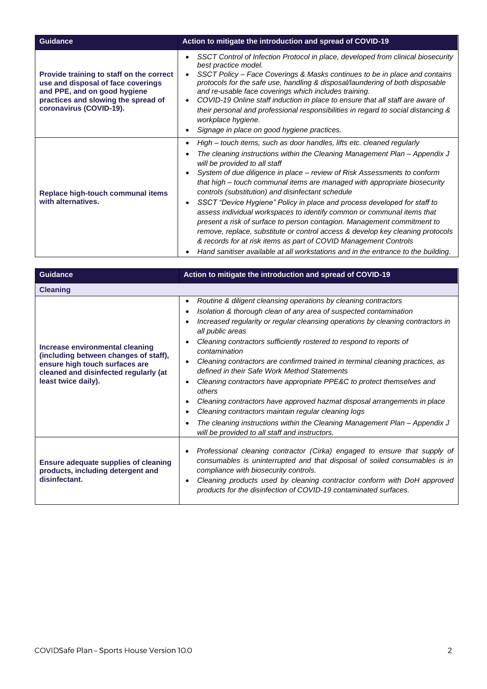| <b>Guidance</b>                                                                                                                                                                  | Action to mitigate the introduction and spread of COVID-19                                                                                                                                                                                                                                                                                                                                                                                                                                                                                                                                                                                                                                                                                                                                                                                                                                        |  |
|----------------------------------------------------------------------------------------------------------------------------------------------------------------------------------|---------------------------------------------------------------------------------------------------------------------------------------------------------------------------------------------------------------------------------------------------------------------------------------------------------------------------------------------------------------------------------------------------------------------------------------------------------------------------------------------------------------------------------------------------------------------------------------------------------------------------------------------------------------------------------------------------------------------------------------------------------------------------------------------------------------------------------------------------------------------------------------------------|--|
| Provide training to staff on the correct<br>use and disposal of face coverings<br>and PPE, and on good hygiene<br>practices and slowing the spread of<br>coronavirus (COVID-19). | SSCT Control of Infection Protocol in place, developed from clinical biosecurity<br>best practice model.<br>SSCT Policy - Face Coverings & Masks continues to be in place and contains<br>protocols for the safe use, handling & disposal/laundering of both disposable<br>and re-usable face coverings which includes training.<br>COVID-19 Online staff induction in place to ensure that all staff are aware of<br>their personal and professional responsibilities in regard to social distancing &<br>workplace hygiene.<br>Signage in place on good hygiene practices.                                                                                                                                                                                                                                                                                                                      |  |
| Replace high-touch communal items<br>with alternatives.                                                                                                                          | High – touch items, such as door handles, lifts etc. cleaned regularly<br>$\bullet$<br>The cleaning instructions within the Cleaning Management Plan - Appendix J<br>will be provided to all staff<br>System of due diligence in place – review of Risk Assessments to conform<br>that high – touch communal items are managed with appropriate biosecurity<br>controls (substitution) and disinfectant schedule<br>SSCT "Device Hygiene" Policy in place and process developed for staff to<br>٠<br>assess individual workspaces to identify common or communal items that<br>present a risk of surface to person contagion. Management commitment to<br>remove, replace, substitute or control access & develop key cleaning protocols<br>& records for at risk items as part of COVID Management Controls<br>Hand sanitiser available at all workstations and in the entrance to the building. |  |

| <b>Guidance</b>                                                                                                                                                            | Action to mitigate the introduction and spread of COVID-19                                                                                                                                                                                                                                                                                                                                                                                                                                                                                                                                                                                                                                                                                                                                                                                                |
|----------------------------------------------------------------------------------------------------------------------------------------------------------------------------|-----------------------------------------------------------------------------------------------------------------------------------------------------------------------------------------------------------------------------------------------------------------------------------------------------------------------------------------------------------------------------------------------------------------------------------------------------------------------------------------------------------------------------------------------------------------------------------------------------------------------------------------------------------------------------------------------------------------------------------------------------------------------------------------------------------------------------------------------------------|
| <b>Cleaning</b>                                                                                                                                                            |                                                                                                                                                                                                                                                                                                                                                                                                                                                                                                                                                                                                                                                                                                                                                                                                                                                           |
| Increase environmental cleaning<br>(including between changes of staff),<br>ensure high touch surfaces are<br>cleaned and disinfected regularly (at<br>least twice daily). | Routine & diligent cleansing operations by cleaning contractors<br>$\bullet$<br>Isolation & thorough clean of any area of suspected contamination<br>Increased regularity or regular cleansing operations by cleaning contractors in<br>all public areas<br>Cleaning contractors sufficiently rostered to respond to reports of<br>contamination<br>Cleaning contractors are confirmed trained in terminal cleaning practices, as<br>$\bullet$<br>defined in their Safe Work Method Statements<br>Cleaning contractors have appropriate PPE&C to protect themselves and<br>٠<br>others<br>Cleaning contractors have approved hazmat disposal arrangements in place<br>Cleaning contractors maintain regular cleaning logs<br>The cleaning instructions within the Cleaning Management Plan – Appendix J<br>will be provided to all staff and instructors. |
| <b>Ensure adequate supplies of cleaning</b><br>products, including detergent and<br>disinfectant.                                                                          | Professional cleaning contractor (Cirka) engaged to ensure that supply of<br>consumables is uninterrupted and that disposal of soiled consumables is in<br>compliance with biosecurity controls.<br>Cleaning products used by cleaning contractor conform with DoH approved<br>٠<br>products for the disinfection of COVID-19 contaminated surfaces.                                                                                                                                                                                                                                                                                                                                                                                                                                                                                                      |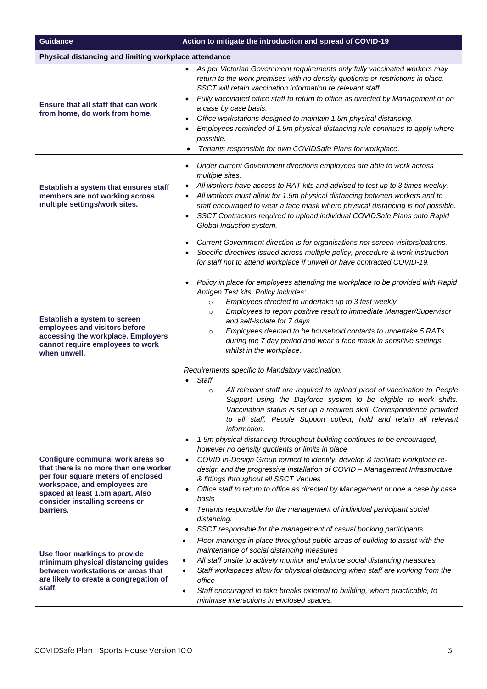| <b>Guidance</b>                                                                                                                                                                                                                    | Action to mitigate the introduction and spread of COVID-19                                                                                                                                                                                                                                                                                                                                                                                                                                                                                                                                                                                                                                                                                                                                                                                                                                                                                                                                                                                                                                                                                                            |  |
|------------------------------------------------------------------------------------------------------------------------------------------------------------------------------------------------------------------------------------|-----------------------------------------------------------------------------------------------------------------------------------------------------------------------------------------------------------------------------------------------------------------------------------------------------------------------------------------------------------------------------------------------------------------------------------------------------------------------------------------------------------------------------------------------------------------------------------------------------------------------------------------------------------------------------------------------------------------------------------------------------------------------------------------------------------------------------------------------------------------------------------------------------------------------------------------------------------------------------------------------------------------------------------------------------------------------------------------------------------------------------------------------------------------------|--|
|                                                                                                                                                                                                                                    | Physical distancing and limiting workplace attendance                                                                                                                                                                                                                                                                                                                                                                                                                                                                                                                                                                                                                                                                                                                                                                                                                                                                                                                                                                                                                                                                                                                 |  |
| Ensure that all staff that can work<br>from home, do work from home.                                                                                                                                                               | As per Victorian Government requirements only fully vaccinated workers may<br>return to the work premises with no density quotients or restrictions in place.<br>SSCT will retain vaccination information re relevant staff.<br>Fully vaccinated office staff to return to office as directed by Management or on<br>$\bullet$<br>a case by case basis.<br>Office workstations designed to maintain 1.5m physical distancing.<br>$\bullet$<br>Employees reminded of 1.5m physical distancing rule continues to apply where<br>٠<br>possible.<br>Tenants responsible for own COVIDSafe Plans for workplace.                                                                                                                                                                                                                                                                                                                                                                                                                                                                                                                                                            |  |
| Establish a system that ensures staff<br>members are not working across<br>multiple settings/work sites.                                                                                                                           | Under current Government directions employees are able to work across<br>$\bullet$<br>multiple sites.<br>All workers have access to RAT kits and advised to test up to 3 times weekly.<br>$\bullet$<br>All workers must allow for 1.5m physical distancing between workers and to<br>$\bullet$<br>staff encouraged to wear a face mask where physical distancing is not possible.<br>SSCT Contractors required to upload individual COVIDSafe Plans onto Rapid<br>$\bullet$<br>Global Induction system.                                                                                                                                                                                                                                                                                                                                                                                                                                                                                                                                                                                                                                                               |  |
| Establish a system to screen<br>employees and visitors before<br>accessing the workplace. Employers<br>cannot require employees to work<br>when unwell.                                                                            | Current Government direction is for organisations not screen visitors/patrons.<br>$\bullet$<br>Specific directives issued across multiple policy, procedure & work instruction<br>٠<br>for staff not to attend workplace if unwell or have contracted COVID-19.<br>Policy in place for employees attending the workplace to be provided with Rapid<br>$\bullet$<br>Antigen Test kits. Policy includes:<br>Employees directed to undertake up to 3 test weekly<br>$\circ$<br>Employees to report positive result to immediate Manager/Supervisor<br>$\circ$<br>and self-isolate for 7 days<br>Employees deemed to be household contacts to undertake 5 RATs<br>$\circ$<br>during the 7 day period and wear a face mask in sensitive settings<br>whilst in the workplace.<br>Requirements specific to Mandatory vaccination:<br><b>Staff</b><br>All relevant staff are required to upload proof of vaccination to People<br>$\circ$<br>Support using the Dayforce system to be eligible to work shifts.<br>Vaccination status is set up a required skill. Correspondence provided<br>to all staff. People Support collect, hold and retain all relevant<br>information. |  |
| Configure communal work areas so<br>that there is no more than one worker<br>per four square meters of enclosed<br>workspace, and employees are<br>spaced at least 1.5m apart. Also<br>consider installing screens or<br>barriers. | 1.5m physical distancing throughout building continues to be encouraged,<br>$\bullet$<br>however no density quotients or limits in place<br>COVID In-Design Group formed to identify, develop & facilitate workplace re-<br>$\bullet$<br>design and the progressive installation of COVID - Management Infrastructure<br>& fittings throughout all SSCT Venues<br>Office staff to return to office as directed by Management or one a case by case<br>$\bullet$<br>basis<br>Tenants responsible for the management of individual participant social<br>$\bullet$<br>distancing.<br>SSCT responsible for the management of casual booking participants.<br>$\bullet$                                                                                                                                                                                                                                                                                                                                                                                                                                                                                                   |  |
| Use floor markings to provide<br>minimum physical distancing guides<br>between workstations or areas that<br>are likely to create a congregation of<br>staff.                                                                      | Floor markings in place throughout public areas of building to assist with the<br>$\bullet$<br>maintenance of social distancing measures<br>All staff onsite to actively monitor and enforce social distancing measures<br>٠<br>Staff workspaces allow for physical distancing when staff are working from the<br>$\bullet$<br>office<br>Staff encouraged to take breaks external to building, where practicable, to<br>$\bullet$<br>minimise interactions in enclosed spaces.                                                                                                                                                                                                                                                                                                                                                                                                                                                                                                                                                                                                                                                                                        |  |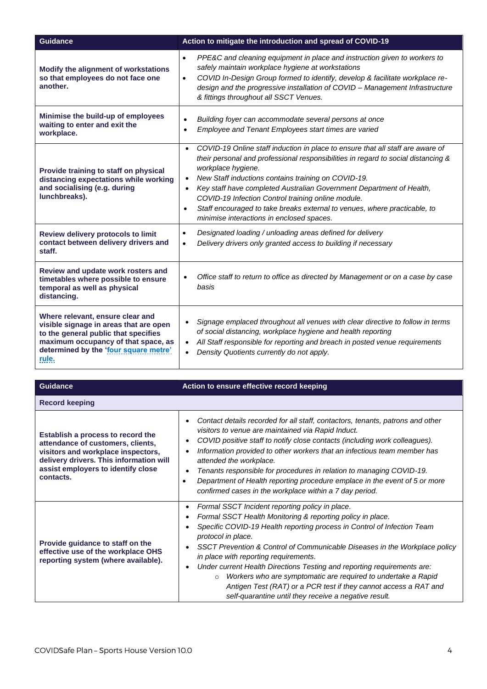| <b>Guidance</b>                                                                                                                                                                                             | Action to mitigate the introduction and spread of COVID-19                                                                                                                                                                                                                                                                                                                                                                                                                                                                                                   |
|-------------------------------------------------------------------------------------------------------------------------------------------------------------------------------------------------------------|--------------------------------------------------------------------------------------------------------------------------------------------------------------------------------------------------------------------------------------------------------------------------------------------------------------------------------------------------------------------------------------------------------------------------------------------------------------------------------------------------------------------------------------------------------------|
| Modify the alignment of workstations<br>so that employees do not face one<br>another.                                                                                                                       | PPE&C and cleaning equipment in place and instruction given to workers to<br>$\bullet$<br>safely maintain workplace hygiene at workstations<br>COVID In-Design Group formed to identify, develop & facilitate workplace re-<br>$\bullet$<br>design and the progressive installation of COVID - Management Infrastructure<br>& fittings throughout all SSCT Venues.                                                                                                                                                                                           |
| Minimise the build-up of employees<br>waiting to enter and exit the<br>workplace.                                                                                                                           | Building foyer can accommodate several persons at once<br>$\bullet$<br>Employee and Tenant Employees start times are varied<br>$\bullet$                                                                                                                                                                                                                                                                                                                                                                                                                     |
| Provide training to staff on physical<br>distancing expectations while working<br>and socialising (e.g. during<br>lunchbreaks).                                                                             | COVID-19 Online staff induction in place to ensure that all staff are aware of<br>$\bullet$<br>their personal and professional responsibilities in regard to social distancing &<br>workplace hygiene.<br>New Staff inductions contains training on COVID-19.<br>$\bullet$<br>Key staff have completed Australian Government Department of Health,<br>$\bullet$<br>COVID-19 Infection Control training online module.<br>Staff encouraged to take breaks external to venues, where practicable, to<br>$\bullet$<br>minimise interactions in enclosed spaces. |
| Review delivery protocols to limit<br>contact between delivery drivers and<br>staff.                                                                                                                        | Designated loading / unloading areas defined for delivery<br>$\bullet$<br>Delivery drivers only granted access to building if necessary<br>$\bullet$                                                                                                                                                                                                                                                                                                                                                                                                         |
| Review and update work rosters and<br>timetables where possible to ensure<br>temporal as well as physical<br>distancing.                                                                                    | Office staff to return to office as directed by Management or on a case by case<br>$\bullet$<br>basis                                                                                                                                                                                                                                                                                                                                                                                                                                                        |
| Where relevant, ensure clear and<br>visible signage in areas that are open<br>to the general public that specifies<br>maximum occupancy of that space, as<br>determined by the 'four square metre'<br>rule. | Signage emplaced throughout all venues with clear directive to follow in terms<br>of social distancing, workplace hygiene and health reporting<br>All Staff responsible for reporting and breach in posted venue requirements<br>$\bullet$<br>Density Quotients currently do not apply.                                                                                                                                                                                                                                                                      |

| <b>Guidance</b>                                                                                                                                                                                            | Action to ensure effective record keeping                                                                                                                                                                                                                                                                                                                                                                                                                                                                                                                                                                                 |
|------------------------------------------------------------------------------------------------------------------------------------------------------------------------------------------------------------|---------------------------------------------------------------------------------------------------------------------------------------------------------------------------------------------------------------------------------------------------------------------------------------------------------------------------------------------------------------------------------------------------------------------------------------------------------------------------------------------------------------------------------------------------------------------------------------------------------------------------|
| <b>Record keeping</b>                                                                                                                                                                                      |                                                                                                                                                                                                                                                                                                                                                                                                                                                                                                                                                                                                                           |
| Establish a process to record the<br>attendance of customers, clients,<br>visitors and workplace inspectors,<br>delivery drivers. This information will<br>assist employers to identify close<br>contacts. | Contact details recorded for all staff, contactors, tenants, patrons and other<br>visitors to venue are maintained via Rapid Induct.<br>COVID positive staff to notify close contacts (including work colleagues).<br>Information provided to other workers that an infectious team member has<br>attended the workplace.<br>Tenants responsible for procedures in relation to managing COVID-19.<br>Department of Health reporting procedure emplace in the event of 5 or more<br>confirmed cases in the workplace within a 7 day period.                                                                                |
| Provide guidance to staff on the<br>effective use of the workplace OHS<br>reporting system (where available).                                                                                              | Formal SSCT Incident reporting policy in place.<br>Formal SSCT Health Monitoring & reporting policy in place.<br>Specific COVID-19 Health reporting process in Control of Infection Team<br>protocol in place.<br>SSCT Prevention & Control of Communicable Diseases in the Workplace policy<br>in place with reporting requirements.<br>Under current Health Directions Testing and reporting requirements are:<br>Workers who are symptomatic are required to undertake a Rapid<br>$\circ$<br>Antigen Test (RAT) or a PCR test if they cannot access a RAT and<br>self-quarantine until they receive a negative result. |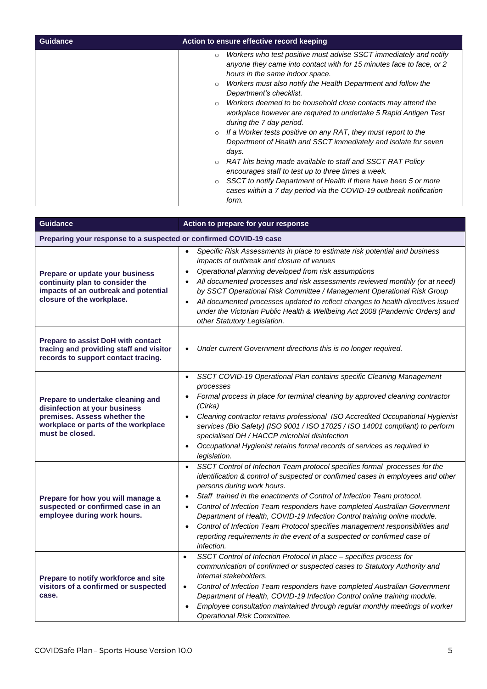| <b>Guidance</b> | Action to ensure effective record keeping                                                                                                                                                                                                                                                                                                                                                                                                                                                                                                                                                                                                                                             |
|-----------------|---------------------------------------------------------------------------------------------------------------------------------------------------------------------------------------------------------------------------------------------------------------------------------------------------------------------------------------------------------------------------------------------------------------------------------------------------------------------------------------------------------------------------------------------------------------------------------------------------------------------------------------------------------------------------------------|
|                 | Workers who test positive must advise SSCT immediately and notify<br>$\circ$<br>anyone they came into contact with for 15 minutes face to face, or 2<br>hours in the same indoor space.<br>Workers must also notify the Health Department and follow the<br>$\circ$<br>Department's checklist.<br>Workers deemed to be household close contacts may attend the<br>workplace however are required to undertake 5 Rapid Antigen Test<br>during the 7 day period.<br>If a Worker tests positive on any RAT, they must report to the<br>Department of Health and SSCT immediately and isolate for seven<br>days.<br>RAT kits being made available to staff and SSCT RAT Policy<br>$\circ$ |
|                 |                                                                                                                                                                                                                                                                                                                                                                                                                                                                                                                                                                                                                                                                                       |
|                 | encourages staff to test up to three times a week.<br>SSCT to notify Department of Health if there have been 5 or more<br>$\circ$                                                                                                                                                                                                                                                                                                                                                                                                                                                                                                                                                     |
|                 | cases within a 7 day period via the COVID-19 outbreak notification<br>form.                                                                                                                                                                                                                                                                                                                                                                                                                                                                                                                                                                                                           |

| <b>Guidance</b>                                                                                                                                              | Action to prepare for your response                                                                                                                                                                                                                                                                                                                                                                                                                                                                                                                                                                                                                         |
|--------------------------------------------------------------------------------------------------------------------------------------------------------------|-------------------------------------------------------------------------------------------------------------------------------------------------------------------------------------------------------------------------------------------------------------------------------------------------------------------------------------------------------------------------------------------------------------------------------------------------------------------------------------------------------------------------------------------------------------------------------------------------------------------------------------------------------------|
| Preparing your response to a suspected or confirmed COVID-19 case                                                                                            |                                                                                                                                                                                                                                                                                                                                                                                                                                                                                                                                                                                                                                                             |
| Prepare or update your business<br>continuity plan to consider the<br>impacts of an outbreak and potential<br>closure of the workplace.                      | Specific Risk Assessments in place to estimate risk potential and business<br>$\bullet$<br>impacts of outbreak and closure of venues<br>Operational planning developed from risk assumptions<br>$\bullet$<br>All documented processes and risk assessments reviewed monthly (or at need)<br>$\bullet$<br>by SSCT Operational Risk Committee / Management Operational Risk Group<br>All documented processes updated to reflect changes to health directives issued<br>$\bullet$<br>under the Victorian Public Health & Wellbeing Act 2008 (Pandemic Orders) and<br>other Statutory Legislation.                                                             |
| <b>Prepare to assist DoH with contact</b><br>tracing and providing staff and visitor<br>records to support contact tracing.                                  | Under current Government directions this is no longer required.<br>$\bullet$                                                                                                                                                                                                                                                                                                                                                                                                                                                                                                                                                                                |
| Prepare to undertake cleaning and<br>disinfection at your business<br>premises. Assess whether the<br>workplace or parts of the workplace<br>must be closed. | SSCT COVID-19 Operational Plan contains specific Cleaning Management<br>$\bullet$<br>processes<br>Formal process in place for terminal cleaning by approved cleaning contractor<br>$\bullet$<br>(Cirka)<br>Cleaning contractor retains professional ISO Accredited Occupational Hygienist<br>$\bullet$<br>services (Bio Safety) (ISO 9001 / ISO 17025 / ISO 14001 compliant) to perform<br>specialised DH / HACCP microbial disinfection<br>Occupational Hygienist retains formal records of services as required in<br>$\bullet$<br>legislation.                                                                                                           |
| Prepare for how you will manage a<br>suspected or confirmed case in an<br>employee during work hours.                                                        | SSCT Control of Infection Team protocol specifies formal processes for the<br>$\bullet$<br>identification & control of suspected or confirmed cases in employees and other<br>persons during work hours.<br>Staff trained in the enactments of Control of Infection Team protocol.<br>$\bullet$<br>Control of Infection Team responders have completed Australian Government<br>$\bullet$<br>Department of Health, COVID-19 Infection Control training online module.<br>Control of Infection Team Protocol specifies management responsibilities and<br>$\bullet$<br>reporting requirements in the event of a suspected or confirmed case of<br>infection. |
| Prepare to notify workforce and site<br>visitors of a confirmed or suspected<br>case.                                                                        | SSCT Control of Infection Protocol in place - specifies process for<br>$\bullet$<br>communication of confirmed or suspected cases to Statutory Authority and<br>internal stakeholders.<br>Control of Infection Team responders have completed Australian Government<br>$\bullet$<br>Department of Health, COVID-19 Infection Control online training module.<br>Employee consultation maintained through regular monthly meetings of worker<br>$\bullet$<br><b>Operational Risk Committee.</b>                                                                                                                                                              |